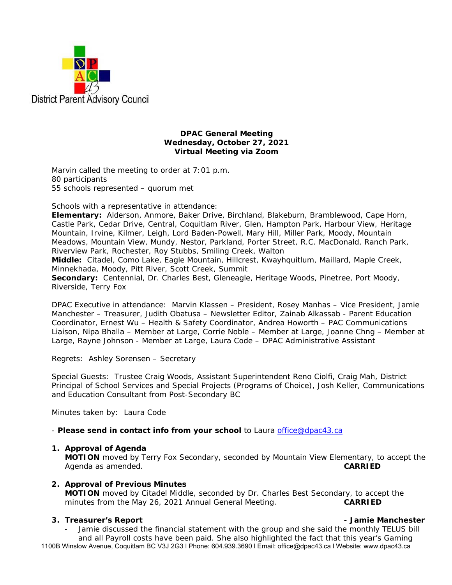

## **DPAC General Meeting Wednesday, October 27, 2021 Virtual Meeting via Zoom**

Marvin called the meeting to order at 7:01 p.m. 80 participants 55 schools represented – quorum met

Schools with a representative in attendance:

**Elementary:** Alderson, Anmore, Baker Drive, Birchland, Blakeburn, Bramblewood, Cape Horn, Castle Park, Cedar Drive, Central, Coquitlam River, Glen, Hampton Park, Harbour View, Heritage Mountain, Irvine, Kilmer, Leigh, Lord Baden-Powell, Mary Hill, Miller Park, Moody, Mountain Meadows, Mountain View, Mundy, Nestor, Parkland, Porter Street, R.C. MacDonald, Ranch Park, Riverview Park, Rochester, Roy Stubbs, Smiling Creek, Walton **Middle:** Citadel, Como Lake, Eagle Mountain, Hillcrest, Kwayhquitlum, Maillard, Maple Creek, Minnekhada, Moody, Pitt River, Scott Creek, Summit **Secondary:** Centennial, Dr. Charles Best, Gleneagle, Heritage Woods, Pinetree, Port Moody, Riverside, Terry Fox

DPAC Executive in attendance: Marvin Klassen – President, Rosey Manhas – Vice President, Jamie Manchester – Treasurer, Judith Obatusa – Newsletter Editor, Zainab Alkassab - Parent Education Coordinator, Ernest Wu – Health & Safety Coordinator, Andrea Howorth – PAC Communications Liaison, Nipa Bhalla – Member at Large, Corrie Noble – Member at Large, Joanne Chng – Member at Large, Rayne Johnson - Member at Large, Laura Code – DPAC Administrative Assistant

Regrets: Ashley Sorensen – Secretary

Special Guests: Trustee Craig Woods, Assistant Superintendent Reno Ciolfi, Craig Mah, District Principal of School Services and Special Projects (Programs of Choice), Josh Keller, Communications and Education Consultant from Post-Secondary BC

Minutes taken by: Laura Code

- *Please send in contact info from your school* to Laura office@dpac43.ca

## **1. Approval of Agenda**

**MOTION** moved by *Terry Fox Secondary*, seconded by *Mountain View Elementary,* to accept the Agenda as amended. **CARRIED** 

## **2. Approval of Previous Minutes**

**MOTION** moved by *Citadel Middle*, seconded by *Dr. Charles Best Secondary*, to accept the minutes from the May 26, 2021 Annual General Meeting. **CARRIED** 

## **3. Treasurer's Report - Jamie Manchester**

1100B Winslow Avenue, Coquitlam BC V3J 2G3 l Phone: 604.939.3690 l Email: office@dpac43.ca l Website: www.dpac43.ca Jamie discussed the financial statement with the group and she said the monthly TELUS bill and all Payroll costs have been paid. She also highlighted the fact that this year's Gaming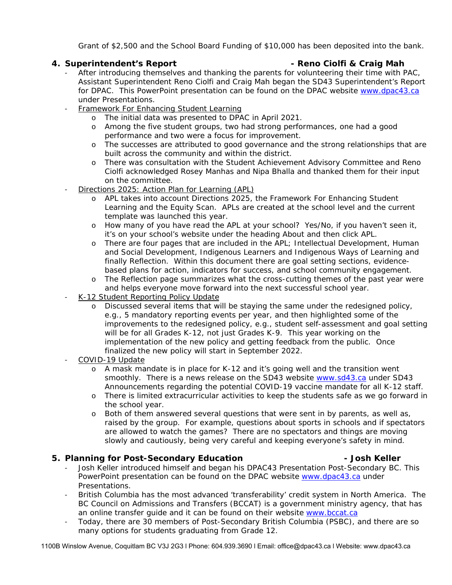Grant of \$2,500 and the School Board Funding of \$10,000 has been deposited into the bank.

# **4. Superintendent's Report - Reno Ciolfi & Craig Mah**

- After introducing themselves and thanking the parents for volunteering their time with PAC, Assistant Superintendent Reno Ciolfi and Craig Mah began the SD43 Superintendent's Report for DPAC. This PowerPoint presentation can be found on the DPAC website www.dpac43.ca under Presentations.
- Framework For Enhancing Student Learning
	- o The initial data was presented to DPAC in April 2021.
	- o Among the five student groups, two had strong performances, one had a good performance and two were a focus for improvement.
	- o The successes are attributed to good governance and the strong relationships that are built across the community and within the district.
	- o There was consultation with the Student Achievement Advisory Committee and Reno Ciolfi acknowledged Rosey Manhas and Nipa Bhalla and thanked them for their input on the committee.
- <sup>−</sup> Directions 2025: Action Plan for Learning (APL)
	- o APL takes into account Directions 2025, the Framework For Enhancing Student Learning and the Equity Scan. APLs are created at the school level and the current template was launched this year.
	- o How many of you have read the APL at your school? Yes/No, if you haven't seen it, it's on your school's website under the heading About and then click APL.
	- o There are four pages that are included in the APL; Intellectual Development, Human and Social Development, Indigenous Learners and Indigenous Ways of Learning and finally Reflection. Within this document there are goal setting sections, evidencebased plans for action, indicators for success, and school community engagement.
	- o The Reflection page summarizes what the cross-cutting themes of the past year were and helps everyone move forward into the next successful school year.
- <sup>−</sup> K-12 Student Reporting Policy Update
	- o Discussed several items that will be staying the same under the redesigned policy, e.g., 5 mandatory reporting events per year, and then highlighted some of the improvements to the redesigned policy, e.g., student self-assessment and goal setting will be for all Grades K-12, not just Grades K-9. This year working on the implementation of the new policy and getting feedback from the public. Once finalized the new policy will start in September 2022.
- <sup>−</sup> COVID-19 Update
	- o A mask mandate is in place for K-12 and it's going well and the transition went smoothly. There is a news release on the SD43 website www.sd43.ca under SD43 Announcements regarding the potential COVID-19 vaccine mandate for all K-12 staff.
	- o There is limited extracurricular activities to keep the students safe as we go forward in the school year.
	- o Both of them answered several questions that were sent in by parents, as well as, raised by the group. For example, questions about sports in schools and if spectators are allowed to watch the games? There are no spectators and things are moving slowly and cautiously, being very careful and keeping everyone's safety in mind.

## **5. Planning for Post-Secondary Education - Josh Keller**

- Josh Keller introduced himself and began his DPAC43 Presentation Post-Secondary BC. This PowerPoint presentation can be found on the DPAC website www.dpac43.ca under Presentations.
- <sup>−</sup> British Columbia has the most advanced 'transferability' credit system in North America. The BC Council on Admissions and Transfers (BCCAT) is a government ministry agency, that has an online transfer guide and it can be found on their website www.bccat.ca
- <sup>−</sup> Today, there are 30 members of Post-Secondary British Columbia (PSBC), and there are so many options for students graduating from Grade 12.

1100B Winslow Avenue, Coquitlam BC V3J 2G3 l Phone: 604.939.3690 l Email: office@dpac43.ca l Website: www.dpac43.ca